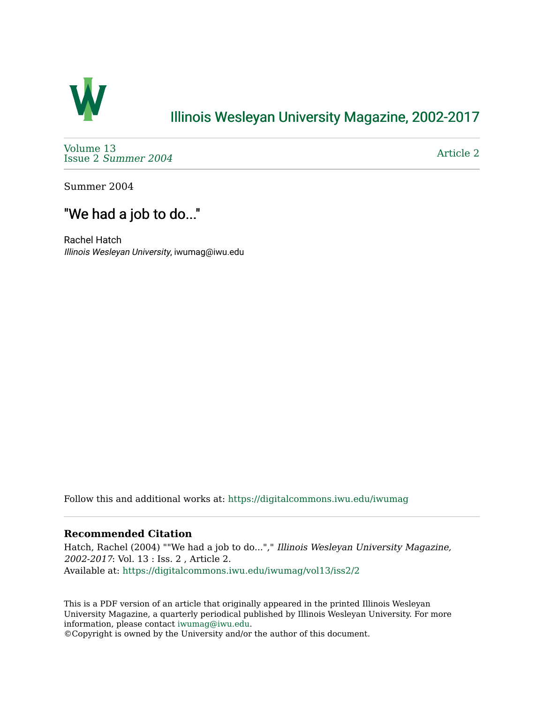

# [Illinois Wesleyan University Magazine, 2002-2017](https://digitalcommons.iwu.edu/iwumag)

[Volume 13](https://digitalcommons.iwu.edu/iwumag/vol13)  Issue 2 [Summer 2004](https://digitalcommons.iwu.edu/iwumag/vol13/iss2) 

[Article 2](https://digitalcommons.iwu.edu/iwumag/vol13/iss2/2) 

Summer 2004

## "We had a job to do..."

Rachel Hatch Illinois Wesleyan University, iwumag@iwu.edu

Follow this and additional works at: [https://digitalcommons.iwu.edu/iwumag](https://digitalcommons.iwu.edu/iwumag?utm_source=digitalcommons.iwu.edu%2Fiwumag%2Fvol13%2Fiss2%2F2&utm_medium=PDF&utm_campaign=PDFCoverPages) 

#### **Recommended Citation**

Hatch, Rachel (2004) ""We had a job to do..."," Illinois Wesleyan University Magazine, 2002-2017: Vol. 13 : Iss. 2 , Article 2. Available at: [https://digitalcommons.iwu.edu/iwumag/vol13/iss2/2](https://digitalcommons.iwu.edu/iwumag/vol13/iss2/2?utm_source=digitalcommons.iwu.edu%2Fiwumag%2Fvol13%2Fiss2%2F2&utm_medium=PDF&utm_campaign=PDFCoverPages)

This is a PDF version of an article that originally appeared in the printed Illinois Wesleyan University Magazine, a quarterly periodical published by Illinois Wesleyan University. For more information, please contact [iwumag@iwu.edu](mailto:iwumag@iwu.edu).

©Copyright is owned by the University and/or the author of this document.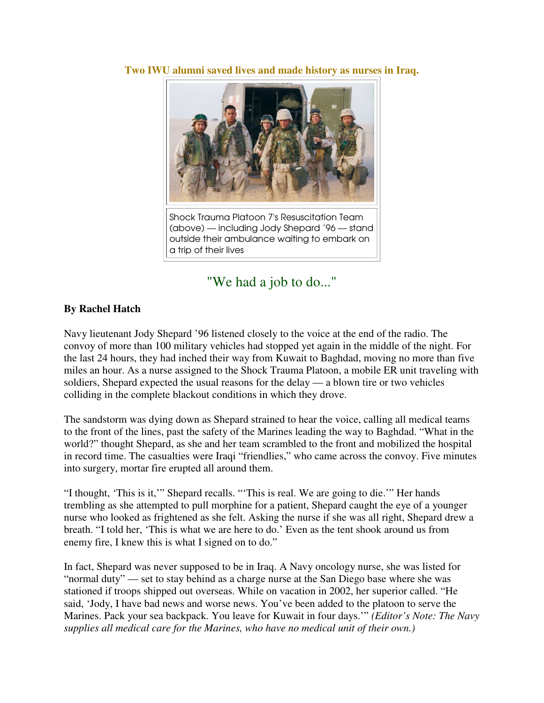**Two IWU alumni saved lives and made history as nurses in Iraq.** 



Shock Trauma Platoon 7's Resuscitation Team (above) — including Jody Shepard '96 — stand outside their ambulance waiting to embark on a trip of their lives

## "We had a job to do..."

### **By Rachel Hatch**

Navy lieutenant Jody Shepard '96 listened closely to the voice at the end of the radio. The convoy of more than 100 military vehicles had stopped yet again in the middle of the night. For the last 24 hours, they had inched their way from Kuwait to Baghdad, moving no more than five miles an hour. As a nurse assigned to the Shock Trauma Platoon, a mobile ER unit traveling with soldiers, Shepard expected the usual reasons for the delay — a blown tire or two vehicles colliding in the complete blackout conditions in which they drove.

The sandstorm was dying down as Shepard strained to hear the voice, calling all medical teams to the front of the lines, past the safety of the Marines leading the way to Baghdad. "What in the world?" thought Shepard, as she and her team scrambled to the front and mobilized the hospital in record time. The casualties were Iraqi "friendlies," who came across the convoy. Five minutes into surgery, mortar fire erupted all around them.

"I thought, 'This is it,'" Shepard recalls. "'This is real. We are going to die.'" Her hands trembling as she attempted to pull morphine for a patient, Shepard caught the eye of a younger nurse who looked as frightened as she felt. Asking the nurse if she was all right, Shepard drew a breath. "I told her, 'This is what we are here to do.' Even as the tent shook around us from enemy fire, I knew this is what I signed on to do."

In fact, Shepard was never supposed to be in Iraq. A Navy oncology nurse, she was listed for "normal duty" — set to stay behind as a charge nurse at the San Diego base where she was stationed if troops shipped out overseas. While on vacation in 2002, her superior called. "He said, 'Jody, I have bad news and worse news. You've been added to the platoon to serve the Marines. Pack your sea backpack. You leave for Kuwait in four days.'" *(Editor's Note: The Navy supplies all medical care for the Marines, who have no medical unit of their own.)*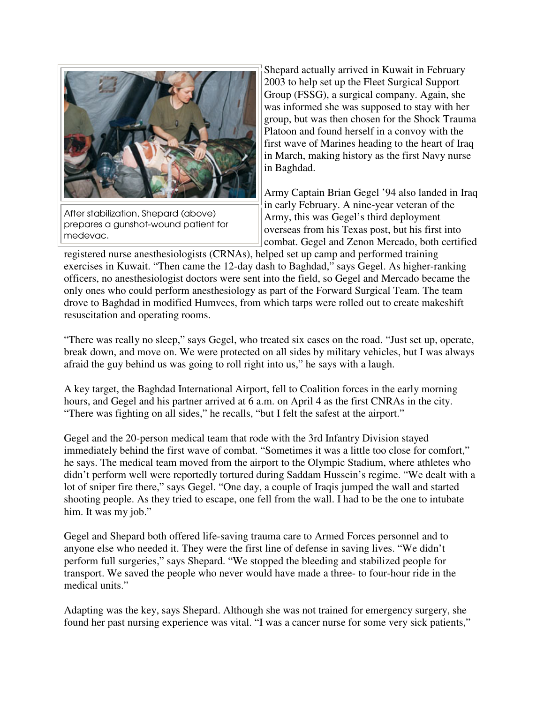

After stabilization, Shepard (above) prepares a gunshot-wound patient for medevac.

Shepard actually arrived in Kuwait in February 2003 to help set up the Fleet Surgical Support Group (FSSG), a surgical company. Again, she was informed she was supposed to stay with her group, but was then chosen for the Shock Trauma Platoon and found herself in a convoy with the first wave of Marines heading to the heart of Iraq in March, making history as the first Navy nurse in Baghdad.

Army Captain Brian Gegel '94 also landed in Iraq in early February. A nine-year veteran of the Army, this was Gegel's third deployment overseas from his Texas post, but his first into combat. Gegel and Zenon Mercado, both certified

registered nurse anesthesiologists (CRNAs), helped set up camp and performed training exercises in Kuwait. "Then came the 12-day dash to Baghdad," says Gegel. As higher-ranking officers, no anesthesiologist doctors were sent into the field, so Gegel and Mercado became the only ones who could perform anesthesiology as part of the Forward Surgical Team. The team drove to Baghdad in modified Humvees, from which tarps were rolled out to create makeshift resuscitation and operating rooms.

"There was really no sleep," says Gegel, who treated six cases on the road. "Just set up, operate, break down, and move on. We were protected on all sides by military vehicles, but I was always afraid the guy behind us was going to roll right into us," he says with a laugh.

A key target, the Baghdad International Airport, fell to Coalition forces in the early morning hours, and Gegel and his partner arrived at 6 a.m. on April 4 as the first CNRAs in the city. "There was fighting on all sides," he recalls, "but I felt the safest at the airport."

Gegel and the 20-person medical team that rode with the 3rd Infantry Division stayed immediately behind the first wave of combat. "Sometimes it was a little too close for comfort," he says. The medical team moved from the airport to the Olympic Stadium, where athletes who didn't perform well were reportedly tortured during Saddam Hussein's regime. "We dealt with a lot of sniper fire there," says Gegel. "One day, a couple of Iraqis jumped the wall and started shooting people. As they tried to escape, one fell from the wall. I had to be the one to intubate him. It was my job."

Gegel and Shepard both offered life-saving trauma care to Armed Forces personnel and to anyone else who needed it. They were the first line of defense in saving lives. "We didn't perform full surgeries," says Shepard. "We stopped the bleeding and stabilized people for transport. We saved the people who never would have made a three- to four-hour ride in the medical units."

Adapting was the key, says Shepard. Although she was not trained for emergency surgery, she found her past nursing experience was vital. "I was a cancer nurse for some very sick patients,"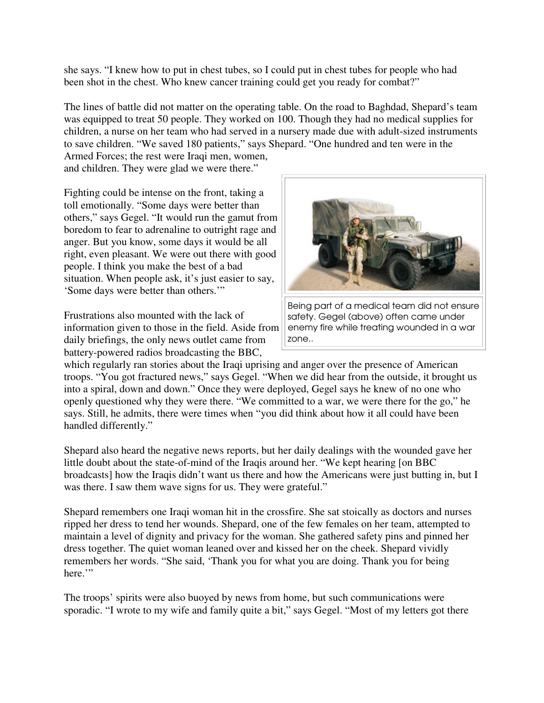she says. "I knew how to put in chest tubes, so I could put in chest tubes for people who had been shot in the chest. Who knew cancer training could get you ready for combat?"

The lines of battle did not matter on the operating table. On the road to Baghdad, Shepard's team was equipped to treat 50 people. They worked on 100. Though they had no medical supplies for children, a nurse on her team who had served in a nursery made due with adult-sized instruments to save children. "We saved 180 patients," says Shepard. "One hundred and ten were in the

Armed Forces; the rest were Iraqi men, women, and children. They were glad we were there."

Fighting could be intense on the front, taking a toll emotionally. "Some days were better than others," says Gegel. "It would run the gamut from boredom to fear to adrenaline to outright rage and anger. But you know, some days it would be all right, even pleasant. We were out there with good people. I think you make the best of a bad situation. When people ask, it's just easier to say, 'Some days were better than others.'"

Frustrations also mounted with the lack of information given to those in the field. Aside from daily briefings, the only news outlet came from battery-powered radios broadcasting the BBC,



Being part of a medical team did not ensure safety. Gegel (above) often came under enemy fire while treating wounded in a war zone..

which regularly ran stories about the Iraqi uprising and anger over the presence of American troops. "You got fractured news," says Gegel. "When we did hear from the outside, it brought us into a spiral, down and down." Once they were deployed, Gegel says he knew of no one who openly questioned why they were there. "We committed to a war, we were there for the go," he says. Still, he admits, there were times when "you did think about how it all could have been handled differently."

Shepard also heard the negative news reports, but her daily dealings with the wounded gave her little doubt about the state-of-mind of the Iraqis around her. "We kept hearing [on BBC broadcasts] how the Iraqis didn't want us there and how the Americans were just butting in, but I was there. I saw them wave signs for us. They were grateful."

Shepard remembers one Iraqi woman hit in the crossfire. She sat stoically as doctors and nurses ripped her dress to tend her wounds. Shepard, one of the few females on her team, attempted to maintain a level of dignity and privacy for the woman. She gathered safety pins and pinned her dress together. The quiet woman leaned over and kissed her on the cheek. Shepard vividly remembers her words. "She said, 'Thank you for what you are doing. Thank you for being here."

The troops' spirits were also buoyed by news from home, but such communications were sporadic. "I wrote to my wife and family quite a bit," says Gegel. "Most of my letters got there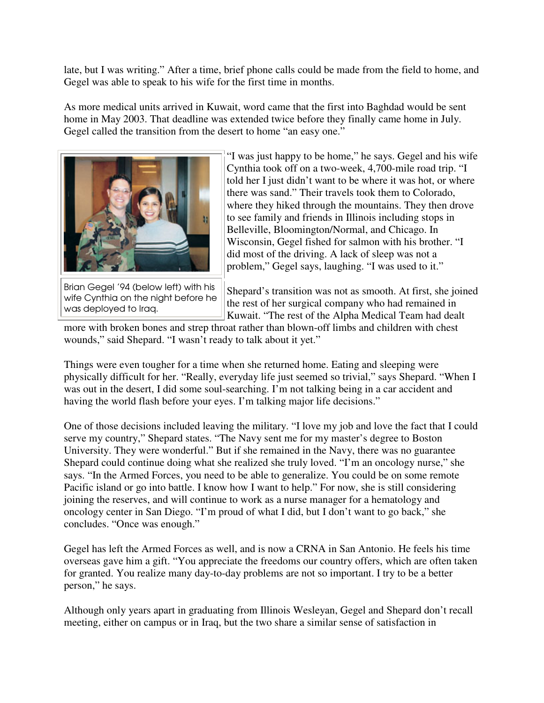late, but I was writing." After a time, brief phone calls could be made from the field to home, and Gegel was able to speak to his wife for the first time in months.

As more medical units arrived in Kuwait, word came that the first into Baghdad would be sent home in May 2003. That deadline was extended twice before they finally came home in July. Gegel called the transition from the desert to home "an easy one."



Brian Gegel '94 (below left) with his wife Cynthia on the night before he was deployed to Iraq.

"I was just happy to be home," he says. Gegel and his wife Cynthia took off on a two-week, 4,700-mile road trip. "I told her I just didn't want to be where it was hot, or where there was sand." Their travels took them to Colorado, where they hiked through the mountains. They then drove to see family and friends in Illinois including stops in Belleville, Bloomington/Normal, and Chicago. In Wisconsin, Gegel fished for salmon with his brother. "I did most of the driving. A lack of sleep was not a problem," Gegel says, laughing. "I was used to it."

Shepard's transition was not as smooth. At first, she joined the rest of her surgical company who had remained in Kuwait. "The rest of the Alpha Medical Team had dealt

more with broken bones and strep throat rather than blown-off limbs and children with chest wounds," said Shepard. "I wasn't ready to talk about it yet."

Things were even tougher for a time when she returned home. Eating and sleeping were physically difficult for her. "Really, everyday life just seemed so trivial," says Shepard. "When I was out in the desert, I did some soul-searching. I'm not talking being in a car accident and having the world flash before your eyes. I'm talking major life decisions."

One of those decisions included leaving the military. "I love my job and love the fact that I could serve my country," Shepard states. "The Navy sent me for my master's degree to Boston University. They were wonderful." But if she remained in the Navy, there was no guarantee Shepard could continue doing what she realized she truly loved. "I'm an oncology nurse," she says. "In the Armed Forces, you need to be able to generalize. You could be on some remote Pacific island or go into battle. I know how I want to help." For now, she is still considering joining the reserves, and will continue to work as a nurse manager for a hematology and oncology center in San Diego. "I'm proud of what I did, but I don't want to go back," she concludes. "Once was enough."

Gegel has left the Armed Forces as well, and is now a CRNA in San Antonio. He feels his time overseas gave him a gift. "You appreciate the freedoms our country offers, which are often taken for granted. You realize many day-to-day problems are not so important. I try to be a better person," he says.

Although only years apart in graduating from Illinois Wesleyan, Gegel and Shepard don't recall meeting, either on campus or in Iraq, but the two share a similar sense of satisfaction in